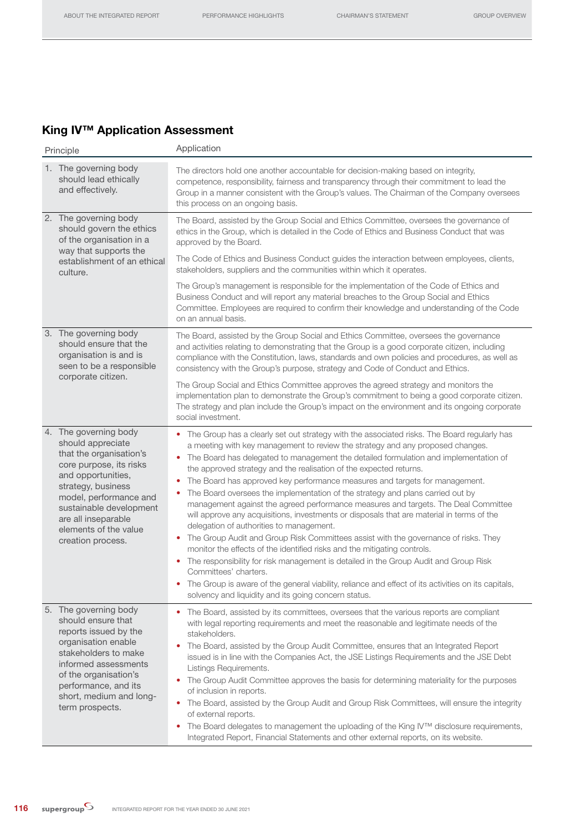## King IV™ Application Assessment

| Principle                                                                                                                                                                                                                                                              | Application                                                                                                                                                                                                                                                                                                                                                                                                                                                                                                                                                                                                                                                                                                                                                                                                                                                                                                                                                                                                                                                                                                                                                                                                                                              |  |  |  |  |  |
|------------------------------------------------------------------------------------------------------------------------------------------------------------------------------------------------------------------------------------------------------------------------|----------------------------------------------------------------------------------------------------------------------------------------------------------------------------------------------------------------------------------------------------------------------------------------------------------------------------------------------------------------------------------------------------------------------------------------------------------------------------------------------------------------------------------------------------------------------------------------------------------------------------------------------------------------------------------------------------------------------------------------------------------------------------------------------------------------------------------------------------------------------------------------------------------------------------------------------------------------------------------------------------------------------------------------------------------------------------------------------------------------------------------------------------------------------------------------------------------------------------------------------------------|--|--|--|--|--|
| 1. The governing body<br>should lead ethically<br>and effectively.                                                                                                                                                                                                     | The directors hold one another accountable for decision-making based on integrity,<br>competence, responsibility, fairness and transparency through their commitment to lead the<br>Group in a manner consistent with the Group's values. The Chairman of the Company oversees<br>this process on an ongoing basis.                                                                                                                                                                                                                                                                                                                                                                                                                                                                                                                                                                                                                                                                                                                                                                                                                                                                                                                                      |  |  |  |  |  |
| 2. The governing body<br>should govern the ethics<br>of the organisation in a<br>way that supports the<br>establishment of an ethical                                                                                                                                  | The Board, assisted by the Group Social and Ethics Committee, oversees the governance of<br>ethics in the Group, which is detailed in the Code of Ethics and Business Conduct that was<br>approved by the Board.<br>The Code of Ethics and Business Conduct guides the interaction between employees, clients,                                                                                                                                                                                                                                                                                                                                                                                                                                                                                                                                                                                                                                                                                                                                                                                                                                                                                                                                           |  |  |  |  |  |
| culture.                                                                                                                                                                                                                                                               | stakeholders, suppliers and the communities within which it operates.                                                                                                                                                                                                                                                                                                                                                                                                                                                                                                                                                                                                                                                                                                                                                                                                                                                                                                                                                                                                                                                                                                                                                                                    |  |  |  |  |  |
|                                                                                                                                                                                                                                                                        | The Group's management is responsible for the implementation of the Code of Ethics and<br>Business Conduct and will report any material breaches to the Group Social and Ethics<br>Committee. Employees are required to confirm their knowledge and understanding of the Code<br>on an annual basis.                                                                                                                                                                                                                                                                                                                                                                                                                                                                                                                                                                                                                                                                                                                                                                                                                                                                                                                                                     |  |  |  |  |  |
| 3. The governing body<br>should ensure that the<br>organisation is and is<br>seen to be a responsible<br>corporate citizen.                                                                                                                                            | The Board, assisted by the Group Social and Ethics Committee, oversees the governance<br>and activities relating to demonstrating that the Group is a good corporate citizen, including<br>compliance with the Constitution, laws, standards and own policies and procedures, as well as<br>consistency with the Group's purpose, strategy and Code of Conduct and Ethics.                                                                                                                                                                                                                                                                                                                                                                                                                                                                                                                                                                                                                                                                                                                                                                                                                                                                               |  |  |  |  |  |
|                                                                                                                                                                                                                                                                        | The Group Social and Ethics Committee approves the agreed strategy and monitors the<br>implementation plan to demonstrate the Group's commitment to being a good corporate citizen.<br>The strategy and plan include the Group's impact on the environment and its ongoing corporate<br>social investment.                                                                                                                                                                                                                                                                                                                                                                                                                                                                                                                                                                                                                                                                                                                                                                                                                                                                                                                                               |  |  |  |  |  |
| 4. The governing body<br>should appreciate<br>that the organisation's<br>core purpose, its risks<br>and opportunities,<br>strategy, business<br>model, performance and<br>sustainable development<br>are all inseparable<br>elements of the value<br>creation process. | • The Group has a clearly set out strategy with the associated risks. The Board regularly has<br>a meeting with key management to review the strategy and any proposed changes.<br>The Board has delegated to management the detailed formulation and implementation of<br>$\bullet$<br>the approved strategy and the realisation of the expected returns.<br>The Board has approved key performance measures and targets for management.<br>$\bullet$<br>The Board oversees the implementation of the strategy and plans carried out by<br>$\bullet$<br>management against the agreed performance measures and targets. The Deal Committee<br>will approve any acquisitions, investments or disposals that are material in terms of the<br>delegation of authorities to management.<br>• The Group Audit and Group Risk Committees assist with the governance of risks. They<br>monitor the effects of the identified risks and the mitigating controls.<br>• The responsibility for risk management is detailed in the Group Audit and Group Risk<br>Committees' charters.<br>The Group is aware of the general viability, reliance and effect of its activities on its capitals,<br>$\bullet$<br>solvency and liquidity and its going concern status. |  |  |  |  |  |
| 5. The governing body<br>should ensure that<br>reports issued by the<br>organisation enable<br>stakeholders to make<br>informed assessments<br>of the organisation's<br>performance, and its<br>short, medium and long-<br>term prospects.                             | The Board, assisted by its committees, oversees that the various reports are compliant<br>with legal reporting requirements and meet the reasonable and legitimate needs of the<br>stakeholders.<br>The Board, assisted by the Group Audit Committee, ensures that an Integrated Report<br>issued is in line with the Companies Act, the JSE Listings Requirements and the JSE Debt<br>Listings Requirements.<br>The Group Audit Committee approves the basis for determining materiality for the purposes<br>of inclusion in reports.<br>• The Board, assisted by the Group Audit and Group Risk Committees, will ensure the integrity<br>of external reports.<br>The Board delegates to management the uploading of the King IV™ disclosure requirements,<br>$\bullet$<br>Integrated Report, Financial Statements and other external reports, on its website.                                                                                                                                                                                                                                                                                                                                                                                          |  |  |  |  |  |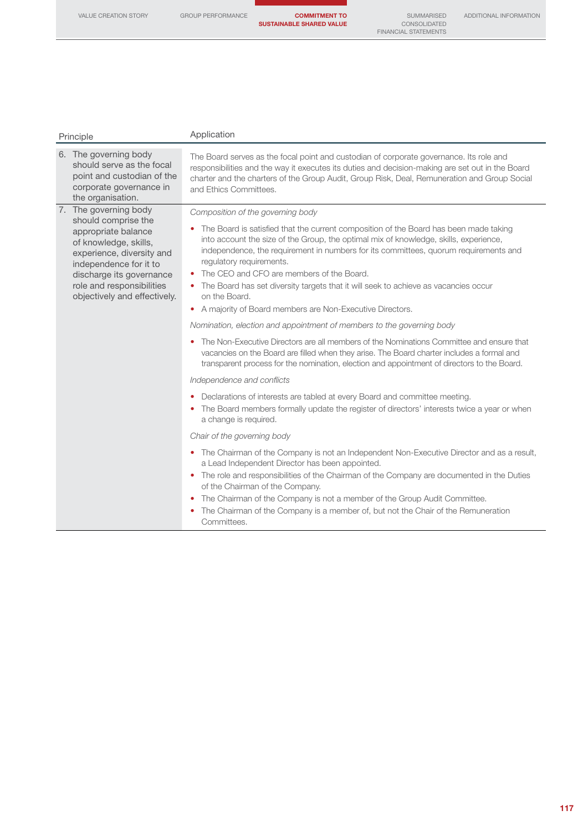| Principle                                                                                                                        | Application                                                                                                                                                                                                                                                                                                           |
|----------------------------------------------------------------------------------------------------------------------------------|-----------------------------------------------------------------------------------------------------------------------------------------------------------------------------------------------------------------------------------------------------------------------------------------------------------------------|
| 6. The governing body<br>should serve as the focal<br>point and custodian of the<br>corporate governance in<br>the organisation. | The Board serves as the focal point and custodian of corporate governance. Its role and<br>responsibilities and the way it executes its duties and decision-making are set out in the Board<br>charter and the charters of the Group Audit, Group Risk, Deal, Remuneration and Group Social<br>and Ethics Committees. |
| 7. The governing body                                                                                                            | Composition of the governing body                                                                                                                                                                                                                                                                                     |
| should comprise the<br>appropriate balance<br>of knowledge, skills,<br>experience, diversity and<br>independence for it to       | • The Board is satisfied that the current composition of the Board has been made taking<br>into account the size of the Group, the optimal mix of knowledge, skills, experience,<br>independence, the requirement in numbers for its committees, quorum requirements and<br>regulatory requirements.                  |
| discharge its governance<br>role and responsibilities<br>objectively and effectively.                                            | The CEO and CFO are members of the Board.<br>• The Board has set diversity targets that it will seek to achieve as vacancies occur<br>on the Board.                                                                                                                                                                   |
|                                                                                                                                  | • A majority of Board members are Non-Executive Directors.                                                                                                                                                                                                                                                            |
|                                                                                                                                  | Nomination, election and appointment of members to the governing body                                                                                                                                                                                                                                                 |
|                                                                                                                                  | The Non-Executive Directors are all members of the Nominations Committee and ensure that<br>vacancies on the Board are filled when they arise. The Board charter includes a formal and<br>transparent process for the nomination, election and appointment of directors to the Board.                                 |
|                                                                                                                                  | Independence and conflicts                                                                                                                                                                                                                                                                                            |
|                                                                                                                                  | Declarations of interests are tabled at every Board and committee meeting.<br>The Board members formally update the register of directors' interests twice a year or when<br>$\bullet$<br>a change is required.                                                                                                       |
|                                                                                                                                  | Chair of the governing body                                                                                                                                                                                                                                                                                           |
|                                                                                                                                  | • The Chairman of the Company is not an Independent Non-Executive Director and as a result,<br>a Lead Independent Director has been appointed.                                                                                                                                                                        |
|                                                                                                                                  | • The role and responsibilities of the Chairman of the Company are documented in the Duties<br>of the Chairman of the Company.                                                                                                                                                                                        |
|                                                                                                                                  | The Chairman of the Company is not a member of the Group Audit Committee.<br>$\bullet$                                                                                                                                                                                                                                |
|                                                                                                                                  | The Chairman of the Company is a member of, but not the Chair of the Remuneration<br>٠<br>Committees.                                                                                                                                                                                                                 |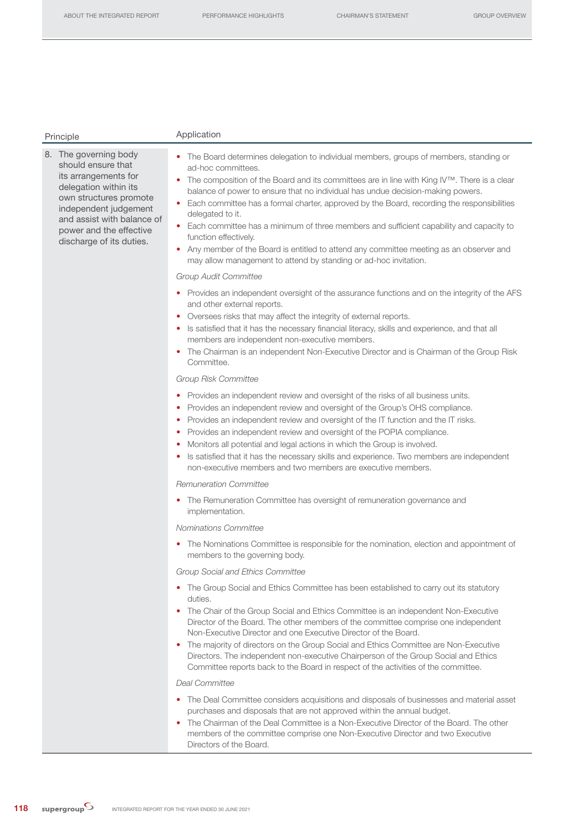| Principle                                                                                                                                                                                                                            | Application                                                                                                                                                                                                                                                                                                                                                                                                                                                                                                                                                                                                                                                                                                                  |  |  |  |  |  |  |
|--------------------------------------------------------------------------------------------------------------------------------------------------------------------------------------------------------------------------------------|------------------------------------------------------------------------------------------------------------------------------------------------------------------------------------------------------------------------------------------------------------------------------------------------------------------------------------------------------------------------------------------------------------------------------------------------------------------------------------------------------------------------------------------------------------------------------------------------------------------------------------------------------------------------------------------------------------------------------|--|--|--|--|--|--|
| 8. The governing body<br>should ensure that<br>its arrangements for<br>delegation within its<br>own structures promote<br>independent judgement<br>and assist with balance of<br>power and the effective<br>discharge of its duties. | • The Board determines delegation to individual members, groups of members, standing or<br>ad-hoc committees.<br>The composition of the Board and its committees are in line with King IV™. There is a clear<br>۰<br>balance of power to ensure that no individual has undue decision-making powers.<br>Each committee has a formal charter, approved by the Board, recording the responsibilities<br>٠<br>delegated to it.<br>Each committee has a minimum of three members and sufficient capability and capacity to<br>$\bullet$<br>function effectively.<br>• Any member of the Board is entitled to attend any committee meeting as an observer and<br>may allow management to attend by standing or ad-hoc invitation. |  |  |  |  |  |  |
|                                                                                                                                                                                                                                      | <b>Group Audit Committee</b>                                                                                                                                                                                                                                                                                                                                                                                                                                                                                                                                                                                                                                                                                                 |  |  |  |  |  |  |
|                                                                                                                                                                                                                                      | • Provides an independent oversight of the assurance functions and on the integrity of the AFS<br>and other external reports.<br>Oversees risks that may affect the integrity of external reports.<br>٠<br>• Is satisfied that it has the necessary financial literacy, skills and experience, and that all<br>members are independent non-executive members.<br>• The Chairman is an independent Non-Executive Director and is Chairman of the Group Risk<br>Committee.                                                                                                                                                                                                                                                     |  |  |  |  |  |  |
|                                                                                                                                                                                                                                      | Group Risk Committee                                                                                                                                                                                                                                                                                                                                                                                                                                                                                                                                                                                                                                                                                                         |  |  |  |  |  |  |
|                                                                                                                                                                                                                                      | Provides an independent review and oversight of the risks of all business units.<br>Provides an independent review and oversight of the Group's OHS compliance.<br>Provides an independent review and oversight of the IT function and the IT risks.<br>Provides an independent review and oversight of the POPIA compliance.<br>Monitors all potential and legal actions in which the Group is involved.<br>Is satisfied that it has the necessary skills and experience. Two members are independent<br>٠<br>non-executive members and two members are executive members.                                                                                                                                                  |  |  |  |  |  |  |
|                                                                                                                                                                                                                                      | <b>Remuneration Committee</b>                                                                                                                                                                                                                                                                                                                                                                                                                                                                                                                                                                                                                                                                                                |  |  |  |  |  |  |
|                                                                                                                                                                                                                                      | • The Remuneration Committee has oversight of remuneration governance and<br>implementation.                                                                                                                                                                                                                                                                                                                                                                                                                                                                                                                                                                                                                                 |  |  |  |  |  |  |
|                                                                                                                                                                                                                                      | Nominations Committee                                                                                                                                                                                                                                                                                                                                                                                                                                                                                                                                                                                                                                                                                                        |  |  |  |  |  |  |
|                                                                                                                                                                                                                                      | The Nominations Committee is responsible for the nomination, election and appointment of<br>members to the governing body.                                                                                                                                                                                                                                                                                                                                                                                                                                                                                                                                                                                                   |  |  |  |  |  |  |
|                                                                                                                                                                                                                                      | Group Social and Ethics Committee                                                                                                                                                                                                                                                                                                                                                                                                                                                                                                                                                                                                                                                                                            |  |  |  |  |  |  |
|                                                                                                                                                                                                                                      | The Group Social and Ethics Committee has been established to carry out its statutory<br>$\bullet$<br>duties.<br>The Chair of the Group Social and Ethics Committee is an independent Non-Executive<br>۰<br>Director of the Board. The other members of the committee comprise one independent<br>Non-Executive Director and one Executive Director of the Board.<br>The majority of directors on the Group Social and Ethics Committee are Non-Executive<br>Directors. The independent non-executive Chairperson of the Group Social and Ethics                                                                                                                                                                             |  |  |  |  |  |  |
|                                                                                                                                                                                                                                      | Committee reports back to the Board in respect of the activities of the committee.<br><b>Deal Committee</b>                                                                                                                                                                                                                                                                                                                                                                                                                                                                                                                                                                                                                  |  |  |  |  |  |  |
|                                                                                                                                                                                                                                      | The Deal Committee considers acquisitions and disposals of businesses and material asset<br>٠<br>purchases and disposals that are not approved within the annual budget.<br>The Chairman of the Deal Committee is a Non-Executive Director of the Board. The other<br>۰<br>members of the committee comprise one Non-Executive Director and two Executive<br>Directors of the Board.                                                                                                                                                                                                                                                                                                                                         |  |  |  |  |  |  |

118 supergroup<sup>S</sup> INTEGRATED REPORT FOR THE YEAR ENDED 30 JUNE 2021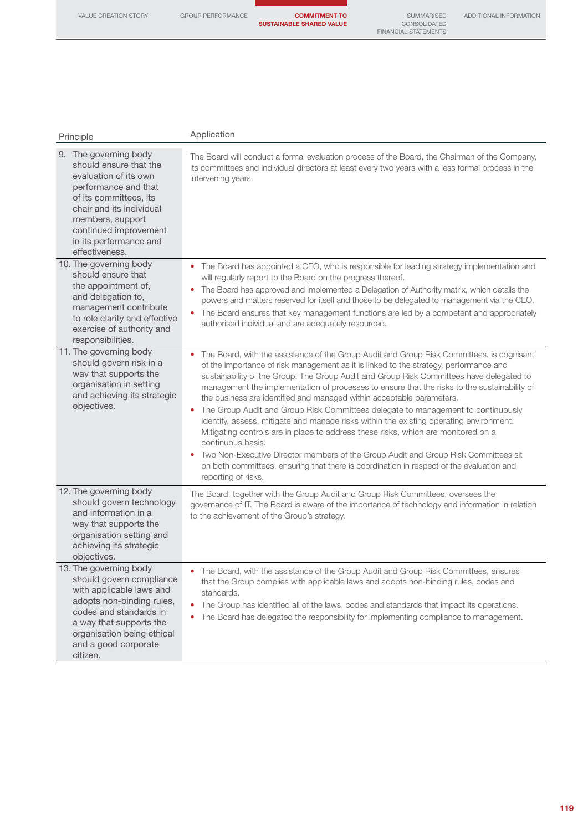VALUE CREATION STORY GROUP PERFORMANCE COMMITMENT TO SUSTAINABLE SHARED VALUE

SUMMARISED<br>CONSOLIDATED<br>FINANCIAL STATEMENTS

|  |  |  |  |  | , \DDI I I OI \!/ \L II \I _OI \!I\!/ \I I OI |  |
|--|--|--|--|--|-----------------------------------------------|--|
|  |  |  |  |  |                                               |  |
|  |  |  |  |  |                                               |  |

| Principle                                                                                                                                                                                                                                       | Application                                                                                                                                                                                                                                                                                                                                                                                                                                                                                                                                                                                                                                                                                                                                                                                                                                                                                                                                                            |  |  |  |  |  |  |
|-------------------------------------------------------------------------------------------------------------------------------------------------------------------------------------------------------------------------------------------------|------------------------------------------------------------------------------------------------------------------------------------------------------------------------------------------------------------------------------------------------------------------------------------------------------------------------------------------------------------------------------------------------------------------------------------------------------------------------------------------------------------------------------------------------------------------------------------------------------------------------------------------------------------------------------------------------------------------------------------------------------------------------------------------------------------------------------------------------------------------------------------------------------------------------------------------------------------------------|--|--|--|--|--|--|
| 9. The governing body<br>should ensure that the<br>evaluation of its own<br>performance and that<br>of its committees, its<br>chair and its individual<br>members, support<br>continued improvement<br>in its performance and<br>effectiveness. | The Board will conduct a formal evaluation process of the Board, the Chairman of the Company,<br>its committees and individual directors at least every two years with a less formal process in the<br>intervening years.                                                                                                                                                                                                                                                                                                                                                                                                                                                                                                                                                                                                                                                                                                                                              |  |  |  |  |  |  |
| 10. The governing body<br>should ensure that<br>the appointment of,<br>and delegation to,<br>management contribute<br>to role clarity and effective<br>exercise of authority and<br>responsibilities.                                           | The Board has appointed a CEO, who is responsible for leading strategy implementation and<br>will regularly report to the Board on the progress thereof.<br>The Board has approved and implemented a Delegation of Authority matrix, which details the<br>۰<br>powers and matters reserved for itself and those to be delegated to management via the CEO.<br>The Board ensures that key management functions are led by a competent and appropriately<br>$\bullet$<br>authorised individual and are adequately resourced.                                                                                                                                                                                                                                                                                                                                                                                                                                             |  |  |  |  |  |  |
| 11. The governing body<br>should govern risk in a<br>way that supports the<br>organisation in setting<br>and achieving its strategic<br>objectives.                                                                                             | The Board, with the assistance of the Group Audit and Group Risk Committees, is cognisant<br>of the importance of risk management as it is linked to the strategy, performance and<br>sustainability of the Group. The Group Audit and Group Risk Committees have delegated to<br>management the implementation of processes to ensure that the risks to the sustainability of<br>the business are identified and managed within acceptable parameters.<br>The Group Audit and Group Risk Committees delegate to management to continuously<br>$\bullet$<br>identify, assess, mitigate and manage risks within the existing operating environment.<br>Mitigating controls are in place to address these risks, which are monitored on a<br>continuous basis.<br>Two Non-Executive Director members of the Group Audit and Group Risk Committees sit<br>on both committees, ensuring that there is coordination in respect of the evaluation and<br>reporting of risks. |  |  |  |  |  |  |
| 12. The governing body<br>should govern technology<br>and information in a<br>way that supports the<br>organisation setting and<br>achieving its strategic<br>objectives.                                                                       | The Board, together with the Group Audit and Group Risk Committees, oversees the<br>governance of IT. The Board is aware of the importance of technology and information in relation<br>to the achievement of the Group's strategy.                                                                                                                                                                                                                                                                                                                                                                                                                                                                                                                                                                                                                                                                                                                                    |  |  |  |  |  |  |
| 13. The governing body<br>should govern compliance<br>with applicable laws and<br>adopts non-binding rules,<br>codes and standards in<br>a way that supports the<br>organisation being ethical<br>and a good corporate<br>citizen.              | The Board, with the assistance of the Group Audit and Group Risk Committees, ensures<br>that the Group complies with applicable laws and adopts non-binding rules, codes and<br>standards.<br>The Group has identified all of the laws, codes and standards that impact its operations.<br>$\bullet$<br>The Board has delegated the responsibility for implementing compliance to management.                                                                                                                                                                                                                                                                                                                                                                                                                                                                                                                                                                          |  |  |  |  |  |  |